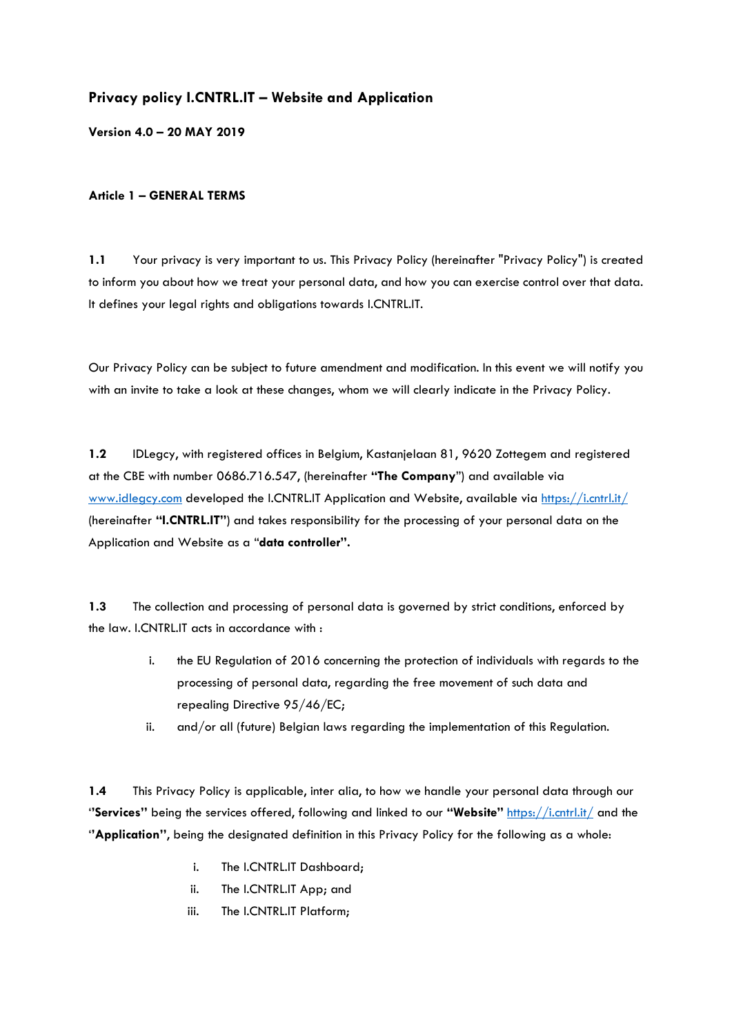## **Privacy policy I.CNTRL.IT – Website and Application**

**Version 4.0 – 20 MAY 2019**

## **Article 1 – GENERAL TERMS**

**1.1** Your privacy is very important to us. This Privacy Policy (hereinafter "Privacy Policy") is created to inform you about how we treat your personal data, and how you can exercise control over that data. It defines your legal rights and obligations towards I.CNTRL.IT.

Our Privacy Policy can be subject to future amendment and modification. In this event we will notify you with an invite to take a look at these changes, whom we will clearly indicate in the Privacy Policy.

**1.2** IDLegcy, with registered offices in Belgium, Kastanjelaan 81, 9620 Zottegem and registered at the CBE with number 0686.716.547, (hereinafter **"The Company**") and available via [www.idlegcy.com](http://www.idlegcy.com/) developed the I.CNTRL.IT Application and Website, available via<https://i.cntrl.it/> (hereinafter **"I.CNTRL.IT"**) and takes responsibility for the processing of your personal data on the Application and Website as a "**data controller".**

**1.3** The collection and processing of personal data is governed by strict conditions, enforced by the law. I.CNTRL.IT acts in accordance with :

- i. the EU Regulation of 2016 concerning the protection of individuals with regards to the processing of personal data, regarding the free movement of such data and repealing Directive 95/46/EC;
- ii. and/or all (future) Belgian laws regarding the implementation of this Regulation.

**1.4** This Privacy Policy is applicable, inter alia, to how we handle your personal data through our '**'Services''** being the services offered, following and linked to our **"Website"** <https://i.cntrl.it/> and the '**'Application''**, being the designated definition in this Privacy Policy for the following as a whole:

- i. The I.CNTRL.IT Dashboard;
- ii. The I.CNTRL.IT App; and
- iii. The I.CNTRL.IT Platform;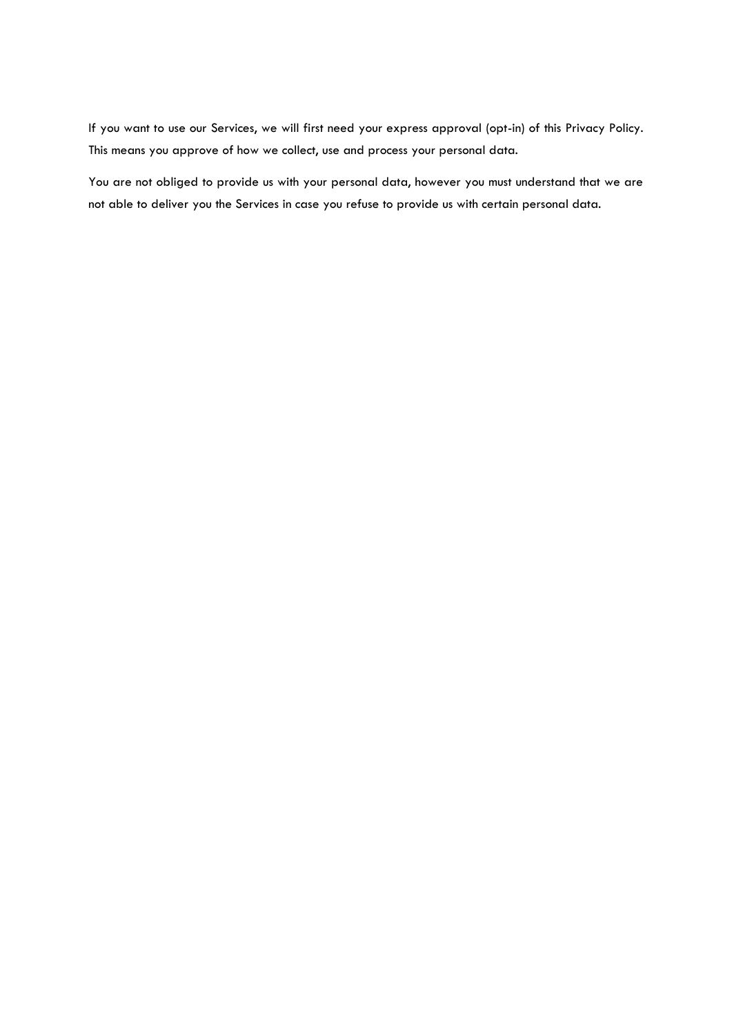If you want to use our Services, we will first need your express approval (opt-in) of this Privacy Policy. This means you approve of how we collect, use and process your personal data.

You are not obliged to provide us with your personal data, however you must understand that we are not able to deliver you the Services in case you refuse to provide us with certain personal data.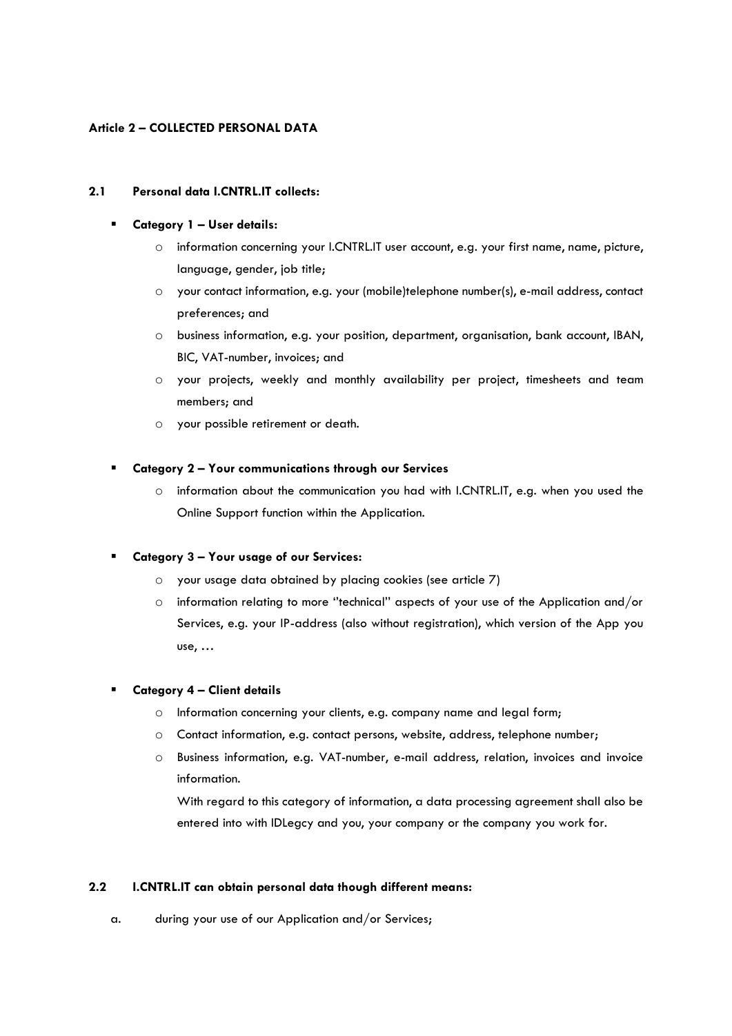## **Article 2 – COLLECTED PERSONAL DATA**

## **2.1 Personal data I.CNTRL.IT collects:**

## ▪ **Category 1 – User details:**

- o information concerning your I.CNTRL.IT user account, e.g. your first name, name, picture, language, gender, job title;
- o your contact information, e.g. your (mobile)telephone number(s), e-mail address, contact preferences; and
- o business information, e.g. your position, department, organisation, bank account, IBAN, BIC, VAT-number, invoices; and
- o your projects, weekly and monthly availability per project, timesheets and team members; and
- o your possible retirement or death.

## ▪ **Category 2 – Your communications through our Services**

o information about the communication you had with I.CNTRL.IT, e.g. when you used the Online Support function within the Application.

## ▪ **Category 3 – Your usage of our Services:**

- o your usage data obtained by placing cookies (see article 7)
- o information relating to more ''technical'' aspects of your use of the Application and/or Services, e.g. your IP-address (also without registration), which version of the App you use, …

## ▪ **Category 4 – Client details**

- o Information concerning your clients, e.g. company name and legal form;
- o Contact information, e.g. contact persons, website, address, telephone number;
- o Business information, e.g. VAT-number, e-mail address, relation, invoices and invoice information.

With regard to this category of information, a data processing agreement shall also be entered into with IDLegcy and you, your company or the company you work for.

#### **2.2 I.CNTRL.IT can obtain personal data though different means:**

a. during your use of our Application and/or Services;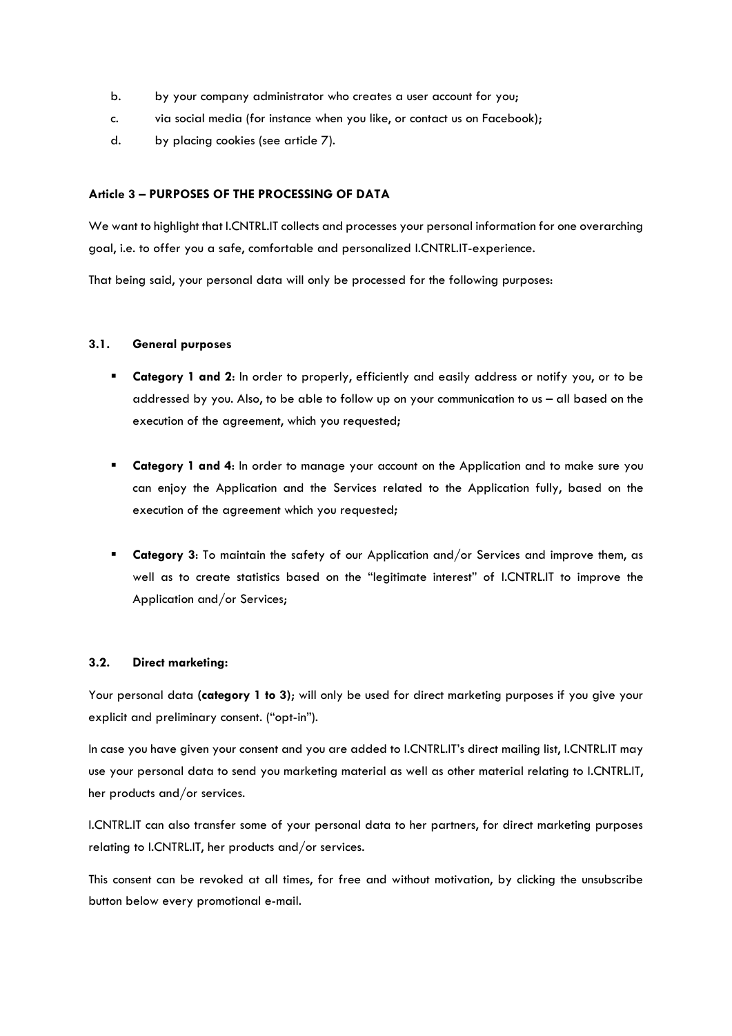- b. by your company administrator who creates a user account for you;
- c. via social media (for instance when you like, or contact us on Facebook);
- d. by placing cookies (see article 7).

## **Article 3 – PURPOSES OF THE PROCESSING OF DATA**

We want to highlight that I.CNTRL.IT collects and processes your personal information for one overarching goal, i.e. to offer you a safe, comfortable and personalized I.CNTRL.IT-experience.

That being said, your personal data will only be processed for the following purposes:

## **3.1. General purposes**

- **Category 1 and 2**: In order to properly, efficiently and easily address or notify you, or to be addressed by you. Also, to be able to follow up on your communication to us – all based on the execution of the agreement, which you requested**;**
- **Category 1 and 4**: In order to manage your account on the Application and to make sure you can enjoy the Application and the Services related to the Application fully, based on the execution of the agreement which you requested**;**
- **Category 3:** To maintain the safety of our Application and/or Services and improve them, as well as to create statistics based on the "legitimate interest" of I.CNTRL.IT to improve the Application and/or Services;

## **3.2. Direct marketing:**

Your personal data **(category 1 to 3)**; will only be used for direct marketing purposes if you give your explicit and preliminary consent. ("opt-in").

In case you have given your consent and you are added to I.CNTRL.IT's direct mailing list, I.CNTRL.IT may use your personal data to send you marketing material as well as other material relating to I.CNTRL.IT, her products and/or services.

I.CNTRL.IT can also transfer some of your personal data to her partners, for direct marketing purposes relating to I.CNTRL.IT, her products and/or services.

This consent can be revoked at all times, for free and without motivation, by clicking the unsubscribe button below every promotional e-mail.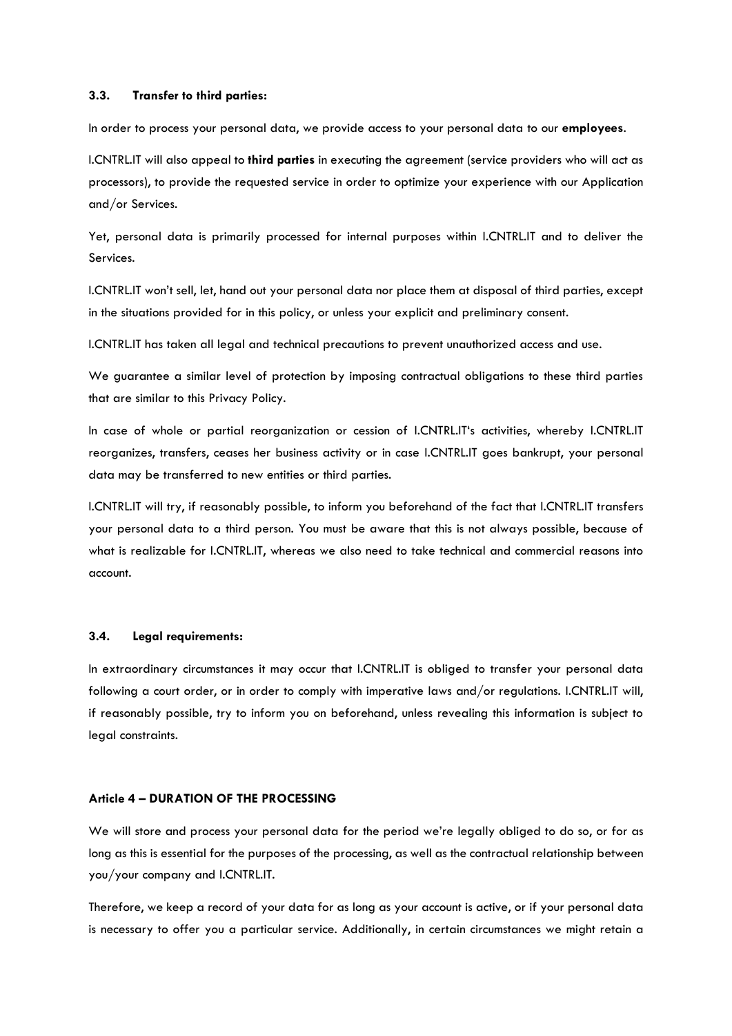#### **3.3. Transfer to third parties:**

In order to process your personal data, we provide access to your personal data to our **employees**.

I.CNTRL.IT will also appeal to **third parties** in executing the agreement (service providers who will act as processors), to provide the requested service in order to optimize your experience with our Application and/or Services.

Yet, personal data is primarily processed for internal purposes within I.CNTRL.IT and to deliver the Services.

I.CNTRL.IT won't sell, let, hand out your personal data nor place them at disposal of third parties, except in the situations provided for in this policy, or unless your explicit and preliminary consent.

I.CNTRL.IT has taken all legal and technical precautions to prevent unauthorized access and use.

We guarantee a similar level of protection by imposing contractual obligations to these third parties that are similar to this Privacy Policy.

In case of whole or partial reorganization or cession of I.CNTRL.IT's activities, whereby I.CNTRL.IT reorganizes, transfers, ceases her business activity or in case I.CNTRL.IT goes bankrupt, your personal data may be transferred to new entities or third parties.

I.CNTRL.IT will try, if reasonably possible, to inform you beforehand of the fact that I.CNTRL.IT transfers your personal data to a third person. You must be aware that this is not always possible, because of what is realizable for I.CNTRL.IT, whereas we also need to take technical and commercial reasons into account.

#### **3.4. Legal requirements:**

In extraordinary circumstances it may occur that I.CNTRL.IT is obliged to transfer your personal data following a court order, or in order to comply with imperative laws and/or regulations. I.CNTRL.IT will, if reasonably possible, try to inform you on beforehand, unless revealing this information is subject to legal constraints.

#### **Article 4 – DURATION OF THE PROCESSING**

We will store and process your personal data for the period we're legally obliged to do so, or for as long as this is essential for the purposes of the processing, as well as the contractual relationship between you/your company and I.CNTRL.IT.

Therefore, we keep a record of your data for as long as your account is active, or if your personal data is necessary to offer you a particular service. Additionally, in certain circumstances we might retain a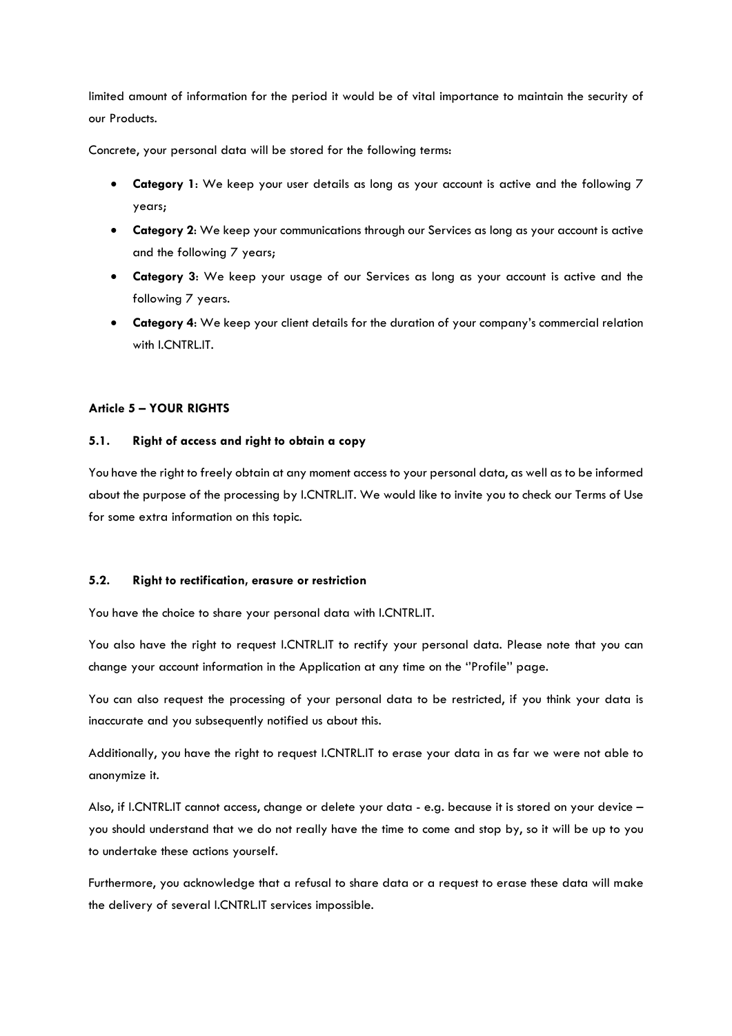limited amount of information for the period it would be of vital importance to maintain the security of our Products.

Concrete, your personal data will be stored for the following terms:

- **Category 1**: We keep your user details as long as your account is active and the following 7 years;
- **Category 2**: We keep your communications through our Services as long as your account is active and the following 7 years;
- **Category 3**: We keep your usage of our Services as long as your account is active and the following 7 years.
- **Category 4**: We keep your client details for the duration of your company's commercial relation with **I.CNTRL.IT.**

## **Article 5 – YOUR RIGHTS**

## **5.1. Right of access and right to obtain a copy**

You have the right to freely obtain at any moment access to your personal data, as well as to be informed about the purpose of the processing by I.CNTRL.IT. We would like to invite you to check our Terms of Use for some extra information on this topic.

#### **5.2. Right to rectification, erasure or restriction**

You have the choice to share your personal data with I.CNTRL.IT.

You also have the right to request I.CNTRL.IT to rectify your personal data. Please note that you can change your account information in the Application at any time on the ''Profile'' page.

You can also request the processing of your personal data to be restricted, if you think your data is inaccurate and you subsequently notified us about this.

Additionally, you have the right to request I.CNTRL.IT to erase your data in as far we were not able to anonymize it.

Also, if I.CNTRL.IT cannot access, change or delete your data - e.g. because it is stored on your device – you should understand that we do not really have the time to come and stop by, so it will be up to you to undertake these actions yourself.

Furthermore, you acknowledge that a refusal to share data or a request to erase these data will make the delivery of several I.CNTRL.IT services impossible.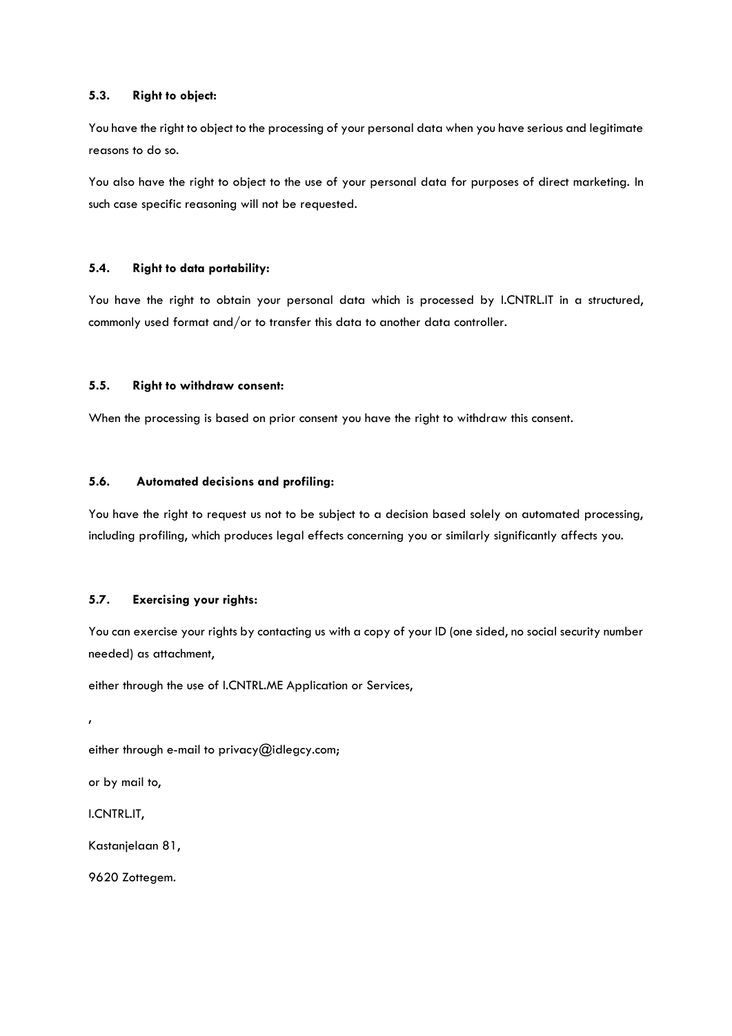## **5.3. Right to object:**

You have the right to object to the processing of your personal data when you have serious and legitimate reasons to do so.

You also have the right to object to the use of your personal data for purposes of direct marketing. In such case specific reasoning will not be requested.

## **5.4. Right to data portability:**

You have the right to obtain your personal data which is processed by I.CNTRL.IT in a structured, commonly used format and/or to transfer this data to another data controller.

#### **5.5. Right to withdraw consent:**

When the processing is based on prior consent you have the right to withdraw this consent.

## **5.6. Automated decisions and profiling:**

You have the right to request us not to be subject to a decision based solely on automated processing, including profiling, which produces legal effects concerning you or similarly significantly affects you.

## **5.7. Exercising your rights:**

You can exercise your rights by contacting us with a copy of your ID (one sided, no social security number needed) as attachment,

either through the use of I.CNTRL.ME Application or Services,

either through e-mail to privacy@idlegcy.com;

or by mail to,

I.CNTRL.IT,

,

Kastanjelaan 81,

9620 Zottegem.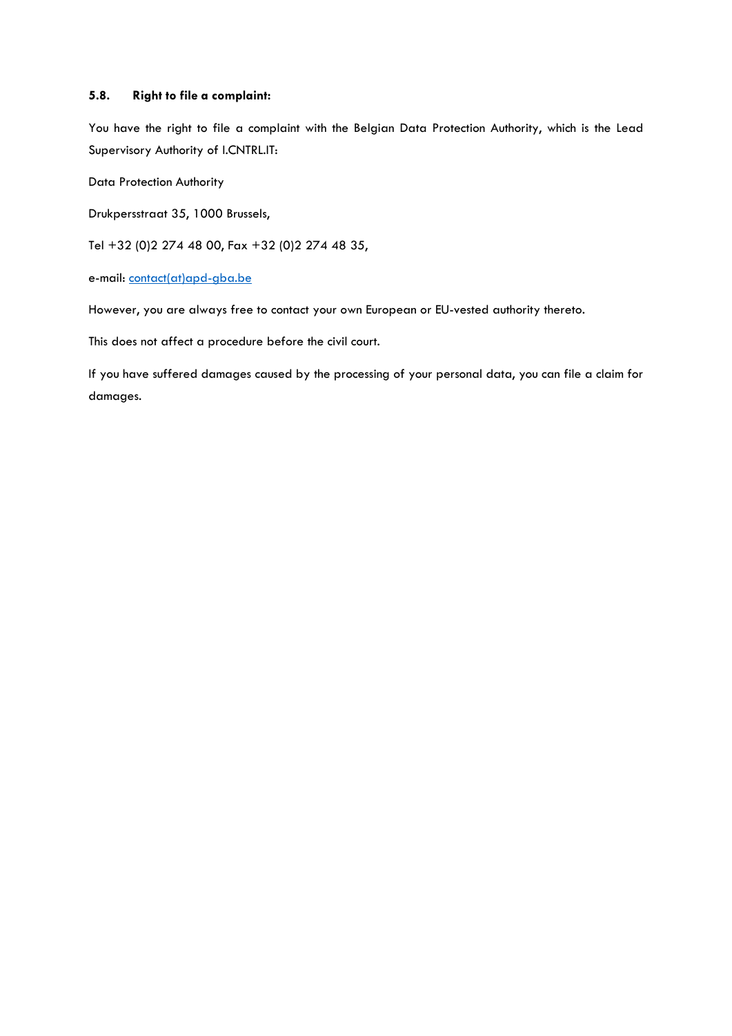## **5.8. Right to file a complaint:**

You have the right to file a complaint with the Belgian Data Protection Authority, which is the Lead Supervisory Authority of I.CNTRL.IT:

Data Protection Authority

Drukpersstraat 35, 1000 Brussels,

Tel +32 (0)2 274 48 00, Fax +32 (0)2 274 48 35,

e-mail: [contact\(at\)apd-gba.be](mailto:contact@apd-gba.be)

However, you are always free to contact your own European or EU-vested authority thereto.

This does not affect a procedure before the civil court.

If you have suffered damages caused by the processing of your personal data, you can file a claim for damages.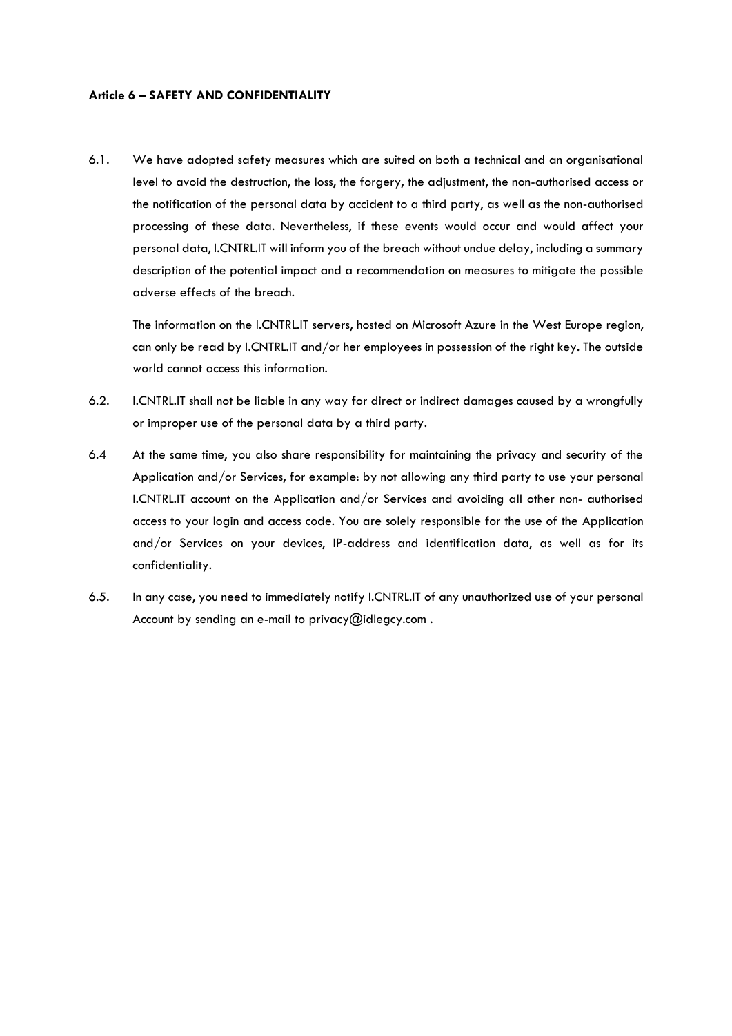#### **Article 6 – SAFETY AND CONFIDENTIALITY**

6.1. We have adopted safety measures which are suited on both a technical and an organisational level to avoid the destruction, the loss, the forgery, the adjustment, the non-authorised access or the notification of the personal data by accident to a third party, as well as the non-authorised processing of these data. Nevertheless, if these events would occur and would affect your personal data, I.CNTRL.IT will inform you of the breach without undue delay, including a summary description of the potential impact and a recommendation on measures to mitigate the possible adverse effects of the breach.

The information on the I.CNTRL.IT servers, hosted on Microsoft Azure in the West Europe region, can only be read by I.CNTRL.IT and/or her employees in possession of the right key. The outside world cannot access this information.

- 6.2. I.CNTRL.IT shall not be liable in any way for direct or indirect damages caused by a wrongfully or improper use of the personal data by a third party.
- 6.4 At the same time, you also share responsibility for maintaining the privacy and security of the Application and/or Services, for example: by not allowing any third party to use your personal I.CNTRL.IT account on the Application and/or Services and avoiding all other non- authorised access to your login and access code. You are solely responsible for the use of the Application and/or Services on your devices, IP-address and identification data, as well as for its confidentiality.
- 6.5. In any case, you need to immediately notify I.CNTRL.IT of any unauthorized use of your personal Account by sending an e-mail to privacy@idlegcy.com.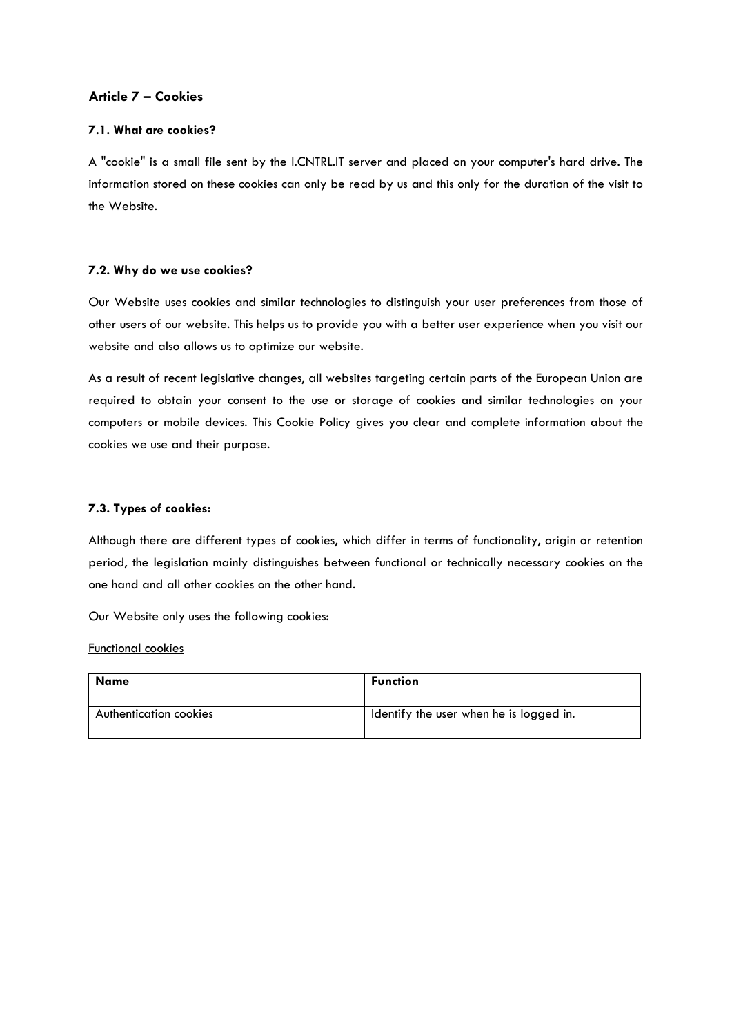## **Article 7 – Cookies**

## **7.1. What are cookies?**

A "cookie" is a small file sent by the I.CNTRL.IT server and placed on your computer's hard drive. The information stored on these cookies can only be read by us and this only for the duration of the visit to the Website.

## **7.2. Why do we use cookies?**

Our Website uses cookies and similar technologies to distinguish your user preferences from those of other users of our website. This helps us to provide you with a better user experience when you visit our website and also allows us to optimize our website.

As a result of recent legislative changes, all websites targeting certain parts of the European Union are required to obtain your consent to the use or storage of cookies and similar technologies on your computers or mobile devices. This Cookie Policy gives you clear and complete information about the cookies we use and their purpose.

## **7.3. Types of cookies:**

Although there are different types of cookies, which differ in terms of functionality, origin or retention period, the legislation mainly distinguishes between functional or technically necessary cookies on the one hand and all other cookies on the other hand.

Our Website only uses the following cookies:

#### Functional cookies

| <b>Name</b>            | <b>Function</b>                         |
|------------------------|-----------------------------------------|
| Authentication cookies | Identify the user when he is logged in. |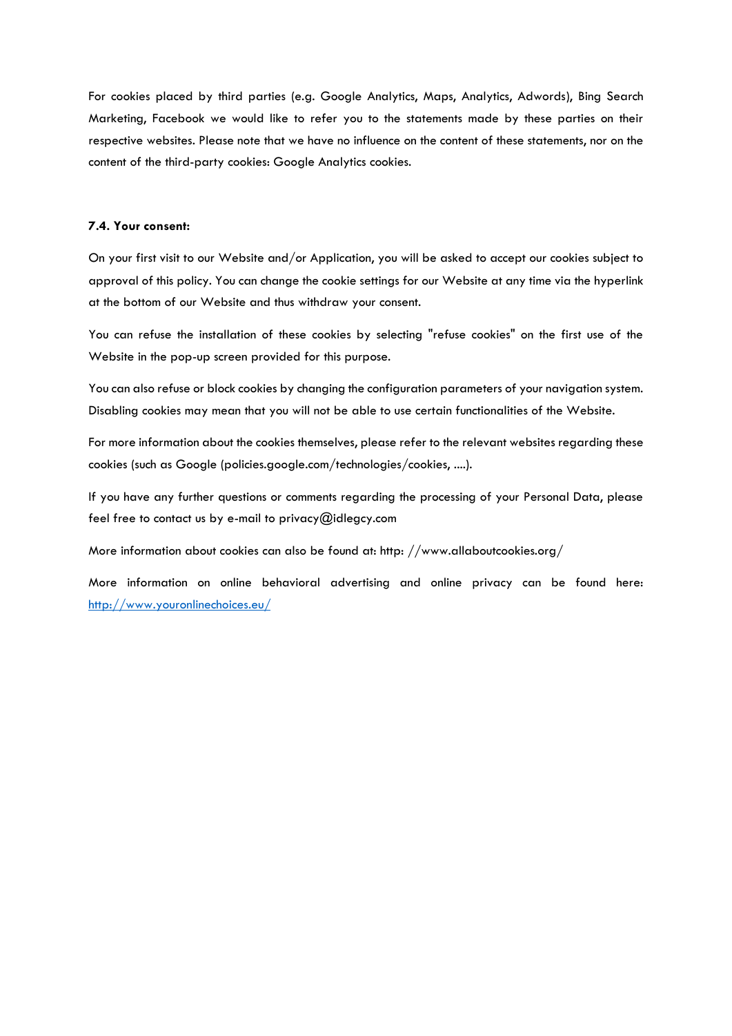For cookies placed by third parties (e.g. Google Analytics, Maps, Analytics, Adwords), Bing Search Marketing, Facebook we would like to refer you to the statements made by these parties on their respective websites. Please note that we have no influence on the content of these statements, nor on the content of the third-party cookies: Google Analytics cookies.

#### **7.4. Your consent:**

On your first visit to our Website and/or Application, you will be asked to accept our cookies subject to approval of this policy. You can change the cookie settings for our Website at any time via the hyperlink at the bottom of our Website and thus withdraw your consent.

You can refuse the installation of these cookies by selecting "refuse cookies" on the first use of the Website in the pop-up screen provided for this purpose.

You can also refuse or block cookies by changing the configuration parameters of your navigation system. Disabling cookies may mean that you will not be able to use certain functionalities of the Website.

For more information about the cookies themselves, please refer to the relevant websites regarding these cookies (such as Google (policies.google.com/technologies/cookies, ....).

If you have any further questions or comments regarding the processing of your Personal Data, please feel free to contact us by e-mail to privacy@idlegcy.com

More information about cookies can also be found at: http: //www.allaboutcookies.org/

More information on online behavioral advertising and online privacy can be found here: <http://www.youronlinechoices.eu/>